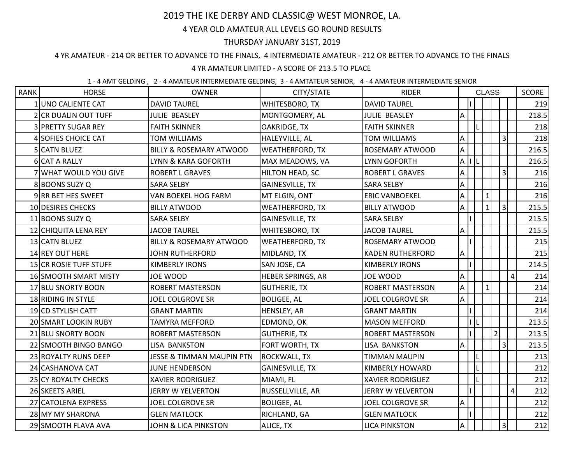# 2019 THE IKE DERBY AND CLASSIC@ WEST MONROE, LA.

# 4 YEAR OLD AMATEUR ALL LEVELS GO ROUND RESULTS

### THURSDAY JANUARY 31ST, 2019

### 4 YR AMATEUR - 214 OR BETTER TO ADVANCE TO THE FINALS, 4 INTERMEDIATE AMATEUR - 212 OR BETTER TO ADVANCE TO THE FINALS

# 4 YR AMATEUR LIMITED - A SCORE OF 213.5 TO PLACE

#### 1 - 4 AMT GELDING , 2 - 4 AMATEUR INTERMEDIATE GELDING, 3 - 4 AMTATEUR SENIOR, 4 - 4 AMATEUR INTERMEDIATE SENIOR

| <b>RANK</b> | <b>HORSE</b>                 | <b>OWNER</b>                         | CITY/STATE             | <b>RIDER</b>             | <b>CLASS</b>              |  |              |                |                         | <b>SCORE</b> |
|-------------|------------------------------|--------------------------------------|------------------------|--------------------------|---------------------------|--|--------------|----------------|-------------------------|--------------|
|             | 1 UNO CALIENTE CAT           | <b>DAVID TAUREL</b>                  | WHITESBORO, TX         | <b>DAVID TAUREL</b>      |                           |  |              |                |                         | 219          |
|             | 2 CR DUALIN OUT TUFF         | <b>JULIE BEASLEY</b>                 | MONTGOMERY, AL         | <b>JULIE BEASLEY</b>     | A                         |  |              |                |                         | 218.5        |
|             | 3 PRETTY SUGAR REY           | <b>FAITH SKINNER</b>                 | OAKRIDGE, TX           | <b>FAITH SKINNER</b>     |                           |  |              |                |                         | 218          |
|             | 4 SOFIES CHOICE CAT          | <b>TOM WILLIAMS</b>                  | HALEYVILLE, AL         | <b>TOM WILLIAMS</b>      | A                         |  |              |                | $\overline{3}$          | 218          |
|             | 5 CATN BLUEZ                 | <b>BILLY &amp; ROSEMARY ATWOOD</b>   | <b>WEATHERFORD, TX</b> | ROSEMARY ATWOOD          | $\boldsymbol{\mathsf{A}}$ |  |              |                |                         | 216.5        |
|             | 6 CAT A RALLY                | LYNN & KARA GOFORTH                  | MAX MEADOWS, VA        | <b>LYNN GOFORTH</b>      | $\mathsf{A}$              |  |              |                |                         | 216.5        |
|             | 7 WHAT WOULD YOU GIVE        | <b>ROBERT L GRAVES</b>               | HILTON HEAD, SC        | <b>ROBERT L GRAVES</b>   | A                         |  |              |                | $\vert$ 3               | 216          |
|             | 8 BOONS SUZY Q               | SARA SELBY                           | <b>GAINESVILLE, TX</b> | <b>SARA SELBY</b>        | А                         |  |              |                |                         | 216          |
|             | 9 RR BET HES SWEET           | VAN BOEKEL HOG FARM                  | MT ELGIN, ONT          | <b>ERIC VANBOEKEL</b>    | A                         |  | $\mathbf{1}$ |                |                         | 216          |
|             | 10 DESIRES CHECKS            | <b>BILLY ATWOOD</b>                  | <b>WEATHERFORD, TX</b> | <b>BILLY ATWOOD</b>      | A                         |  | $1\vert$     |                | $\overline{3}$          | 215.5        |
|             | 11 BOONS SUZY Q              | <b>SARA SELBY</b>                    | <b>GAINESVILLE, TX</b> | <b>SARA SELBY</b>        |                           |  |              |                |                         | 215.5        |
|             | 12 CHIQUITA LENA REY         | <b>JACOB TAUREL</b>                  | WHITESBORO, TX         | <b>JACOB TAUREL</b>      | Α                         |  |              |                |                         | 215.5        |
|             | 13 CATN BLUEZ                | <b>BILLY &amp; ROSEMARY ATWOOD</b>   | <b>WEATHERFORD, TX</b> | ROSEMARY ATWOOD          |                           |  |              |                |                         | 215          |
|             | 14 REY OUT HERE              | <b>JOHN RUTHERFORD</b>               | MIDLAND, TX            | <b>KADEN RUTHERFORD</b>  | А                         |  |              |                |                         | 215          |
|             | 15 CR ROSIE TUFF STUFF       | <b>KIMBERLY IRONS</b>                | SAN JOSE, CA           | <b>KIMBERLY IRONS</b>    |                           |  |              |                |                         | 214.5        |
|             | <b>16 SMOOTH SMART MISTY</b> | JOE WOOD                             | HEBER SPRINGS, AR      | JOE WOOD                 | A                         |  |              |                | $\overline{\mathbf{4}}$ | 214          |
|             | 17 BLU SNORTY BOON           | <b>ROBERT MASTERSON</b>              | <b>GUTHERIE, TX</b>    | <b>ROBERT MASTERSON</b>  | $\boldsymbol{\mathsf{A}}$ |  | $\mathbf{1}$ |                |                         | 214          |
|             | 18 RIDING IN STYLE           | <b>JOEL COLGROVE SR</b>              | <b>BOLIGEE, AL</b>     | <b>JOEL COLGROVE SR</b>  | Α                         |  |              |                |                         | 214          |
|             | 19 CD STYLISH CATT           | <b>GRANT MARTIN</b>                  | HENSLEY, AR            | <b>GRANT MARTIN</b>      |                           |  |              |                |                         | 214          |
|             | 20 SMART LOOKIN RUBY         | TAMYRA MEFFORD                       | EDMOND, OK             | <b>MASON MEFFORD</b>     |                           |  |              |                |                         | 213.5        |
|             | 21 BLU SNORTY BOON           | <b>ROBERT MASTERSON</b>              | <b>GUTHERIE, TX</b>    | <b>ROBERT MASTERSON</b>  |                           |  |              | $\overline{2}$ |                         | 213.5        |
|             | 22 SMOOTH BINGO BANGO        | LISA BANKSTON                        | FORT WORTH, TX         | LISA BANKSTON            | А                         |  |              |                | $\overline{3}$          | 213.5        |
|             | 23 ROYALTY RUNS DEEP         | <b>JESSE &amp; TIMMAN MAUPIN PTN</b> | ROCKWALL, TX           | TIMMAN MAUPIN            |                           |  |              |                |                         | 213          |
|             | 24 CASHANOVA CAT             | JUNE HENDERSON                       | <b>GAINESVILLE, TX</b> | <b>KIMBERLY HOWARD</b>   |                           |  |              |                |                         | 212          |
|             | 25 CY ROYALTY CHECKS         | <b>XAVIER RODRIGUEZ</b>              | MIAMI, FL              | <b>XAVIER RODRIGUEZ</b>  |                           |  |              |                |                         | 212          |
|             | 26 SKEETS ARIEL              | <b>JERRY W YELVERTON</b>             | RUSSELLVILLE, AR       | <b>JERRY W YELVERTON</b> |                           |  |              |                | $\pmb{4}$               | 212          |
|             | 27 CATOLENA EXPRESS          | JOEL COLGROVE SR                     | <b>BOLIGEE, AL</b>     | <b>JOEL COLGROVE SR</b>  | Α                         |  |              |                |                         | 212          |
|             | 28 MY MY SHARONA             | <b>GLEN MATLOCK</b>                  | RICHLAND, GA           | <b>GLEN MATLOCK</b>      |                           |  |              |                |                         | 212          |
|             | 29 SMOOTH FLAVA AVA          | <b>JOHN &amp; LICA PINKSTON</b>      | ALICE, TX              | <b>LICA PINKSTON</b>     | A                         |  |              |                | $\overline{3}$          | 212          |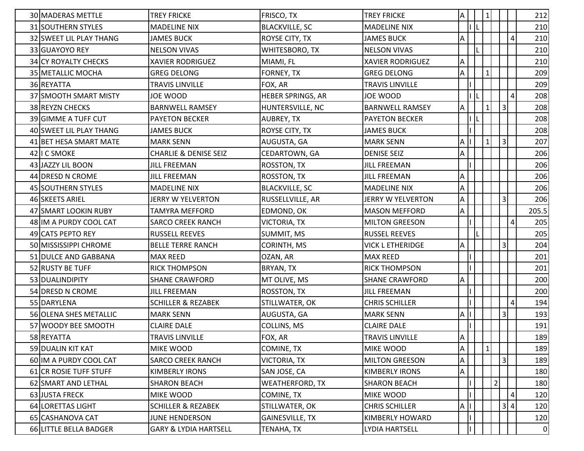| 30 MADERAS METTLE       | <b>TREY FRICKE</b>               | FRISCO, TX             | <b>TREY FRICKE</b>      | $\mathsf{A}$ | 1              |                |                |                | 212   |
|-------------------------|----------------------------------|------------------------|-------------------------|--------------|----------------|----------------|----------------|----------------|-------|
| 31 SOUTHERN STYLES      | <b>MADELINE NIX</b>              | <b>BLACKVILLE, SC</b>  | <b>MADELINE NIX</b>     |              |                |                |                |                | 210   |
| 32 SWEET LIL PLAY THANG | <b>JAMES BUCK</b>                | ROYSE CITY, TX         | <b>JAMES BUCK</b>       | A            |                |                |                | $\sqrt{4}$     | 210   |
| 33 GUAYOYO REY          | <b>NELSON VIVAS</b>              | WHITESBORO, TX         | <b>NELSON VIVAS</b>     |              |                |                |                |                | 210   |
| 34 CY ROYALTY CHECKS    | <b>XAVIER RODRIGUEZ</b>          | MIAMI, FL              | <b>XAVIER RODRIGUEZ</b> | A            |                |                |                |                | 210   |
| 35 METALLIC MOCHA       | <b>GREG DELONG</b>               | FORNEY, TX             | <b>GREG DELONG</b>      | A            | $\mathbf{1}$   |                |                |                | 209   |
| 36 REYATTA              | TRAVIS LINVILLE                  | FOX, AR                | <b>TRAVIS LINVILLE</b>  |              |                |                |                |                | 209   |
| 37 SMOOTH SMART MISTY   | JOE WOOD                         | HEBER SPRINGS, AR      | <b>JOE WOOD</b>         |              |                |                |                | 4              | 208   |
| 38 REYZN CHECKS         | <b>BARNWELL RAMSEY</b>           | HUNTERSVILLE, NC       | <b>BARNWELL RAMSEY</b>  | A            | 1 <sup>1</sup> |                | $\overline{3}$ |                | 208   |
| 39 GIMME A TUFF CUT     | <b>PAYETON BECKER</b>            | AUBREY, TX             | <b>PAYETON BECKER</b>   |              |                |                |                |                | 208   |
| 40 SWEET LIL PLAY THANG | <b>JAMES BUCK</b>                | ROYSE CITY, TX         | <b>JAMES BUCK</b>       |              |                |                |                |                | 208   |
| 41 BET HESA SMART MATE  | <b>MARK SENN</b>                 | AUGUSTA, GA            | <b>MARK SENN</b>        | A            | 1              |                | $\vert$ 3      |                | 207   |
| 42 I C SMOKE            | <b>CHARLIE &amp; DENISE SEIZ</b> | CEDARTOWN, GA          | <b>DENISE SEIZ</b>      | А            |                |                |                |                | 206   |
| 43 JAZZY LIL BOON       | JILL FREEMAN                     | <b>ROSSTON, TX</b>     | <b>JILL FREEMAN</b>     |              |                |                |                |                | 206   |
| 44 DRESD N CROME        | <b>JILL FREEMAN</b>              | <b>ROSSTON, TX</b>     | <b>JILL FREEMAN</b>     | А            |                |                |                |                | 206   |
| 45 SOUTHERN STYLES      | <b>MADELINE NIX</b>              | <b>BLACKVILLE, SC</b>  | <b>MADELINE NIX</b>     | A            |                |                |                |                | 206   |
| 46 SKEETS ARIEL         | JERRY W YELVERTON                | RUSSELLVILLE, AR       | JERRY W YELVERTON       | Α            |                |                | $\vert$ 3      |                | 206   |
| 47 SMART LOOKIN RUBY    | TAMYRA MEFFORD                   | EDMOND, OK             | <b>MASON MEFFORD</b>    | А            |                |                |                |                | 205.5 |
| 48 IM A PURDY COOL CAT  | <b>SARCO CREEK RANCH</b>         | VICTORIA, TX           | <b>MILTON GREESON</b>   |              |                |                |                | $\overline{4}$ | 205   |
| 49 CATS PEPTO REY       | <b>RUSSELL REEVES</b>            | SUMMIT, MS             | <b>RUSSEL REEVES</b>    |              |                |                |                |                | 205   |
| 50 MISSISSIPPI CHROME   | <b>BELLE TERRE RANCH</b>         | CORINTH, MS            | <b>VICK L ETHERIDGE</b> | A            |                |                | 3              |                | 204   |
| 51 DULCE AND GABBANA    | <b>MAX REED</b>                  | OZAN, AR               | <b>MAX REED</b>         |              |                |                |                |                | 201   |
| 52 RUSTY BE TUFF        | <b>RICK THOMPSON</b>             | BRYAN, TX              | <b>RICK THOMPSON</b>    |              |                |                |                |                | 201   |
| 53 DUALINDIPITY         | <b>SHANE CRAWFORD</b>            | MT OLIVE, MS           | <b>SHANE CRAWFORD</b>   | А            |                |                |                |                | 200   |
| 54 DRESD N CROME        | JILL FREEMAN                     | ROSSTON, TX            | <b>JILL FREEMAN</b>     |              |                |                |                |                | 200   |
| 55 DARYLENA             | <b>SCHILLER &amp; REZABEK</b>    | STILLWATER, OK         | <b>CHRIS SCHILLER</b>   |              |                |                |                | $\overline{4}$ | 194   |
| 56 OLENA SHES METALLIC  | <b>MARK SENN</b>                 | AUGUSTA, GA            | <b>MARK SENN</b>        | А            |                |                | 3 <sup>1</sup> |                | 193   |
| 57 WOODY BEE SMOOTH     | <b>CLAIRE DALE</b>               | COLLINS, MS            | <b>CLAIRE DALE</b>      |              |                |                |                |                | 191   |
| 58 REYATTA              | <b>TRAVIS LINVILLE</b>           | FOX, AR                | <b>TRAVIS LINVILLE</b>  | $\Delta$     |                |                |                |                | 189   |
| 59 DUALIN KIT KAT       | MIKE WOOD                        | COMINE, TX             | MIKE WOOD               | A            | $\vert$ 1      |                |                |                | 189   |
| 60 IM A PURDY COOL CAT  | <b>SARCO CREEK RANCH</b>         | VICTORIA, TX           | <b>MILTON GREESON</b>   | Α            |                |                | 3 <sup>1</sup> |                | 189   |
| 61 CR ROSIE TUFF STUFF  | <b>KIMBERLY IRONS</b>            | SAN JOSE, CA           | <b>KIMBERLY IRONS</b>   | А            |                |                |                |                | 180   |
| 62 SMART AND LETHAL     | <b>SHARON BEACH</b>              | <b>WEATHERFORD, TX</b> | <b>SHARON BEACH</b>     |              |                | $\overline{2}$ |                |                | 180   |
| 63 JUSTA FRECK          | <b>MIKE WOOD</b>                 | COMINE, TX             | MIKE WOOD               |              |                |                |                | 4              | 120   |
| 64 LORETTAS LIGHT       | <b>SCHILLER &amp; REZABEK</b>    | STILLWATER, OK         | <b>CHRIS SCHILLER</b>   | $\mathsf{A}$ |                |                | 3 4            |                | 120   |
| 65 CASHANOVA CAT        | <b>JUNE HENDERSON</b>            | <b>GAINESVILLE, TX</b> | KIMBERLY HOWARD         |              |                |                |                |                | 120   |
| 66 LITTLE BELLA BADGER  | <b>GARY &amp; LYDIA HARTSELL</b> | TENAHA, TX             | LYDIA HARTSELL          |              |                |                |                |                | 0     |